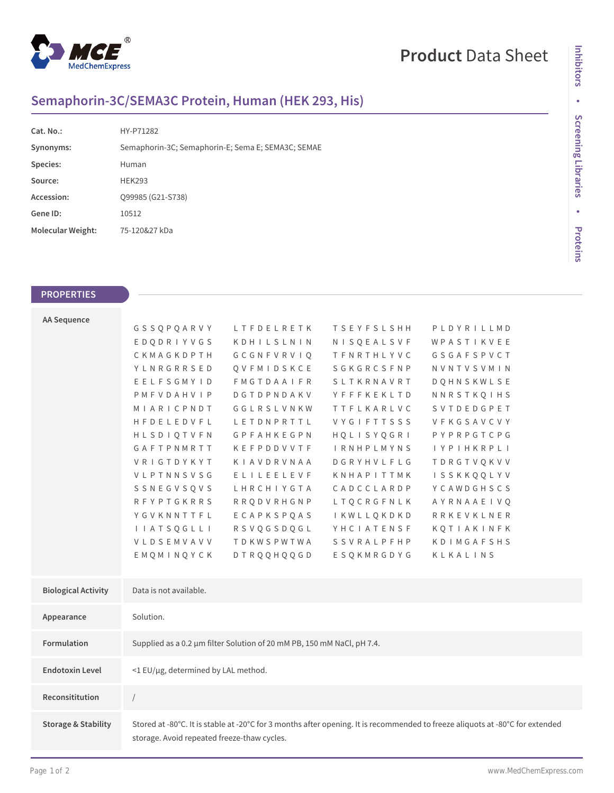

## **Product** Data Sheet

## **Semaphorin-3C/SEMA3C Protein, Human (HEK 293, His)**

| Cat. No.:         | HY-P71282                                          |
|-------------------|----------------------------------------------------|
| Synonyms:         | Semaphorin-3C; Semaphorin-E; Sema E; SEMA3C; SEMAE |
| Species:          | Human                                              |
| Source:           | <b>HEK293</b>                                      |
| Accession:        | Q99985 (G21-S738)                                  |
| Gene ID:          | 10512                                              |
| Molecular Weight: | 75-120&27 kDa                                      |

## **PROPERTIES**

| <b>AA Sequence</b>             |                                                                                                                                                                              |                   |                    |                   |  |  |
|--------------------------------|------------------------------------------------------------------------------------------------------------------------------------------------------------------------------|-------------------|--------------------|-------------------|--|--|
|                                | GSSQPQARVY                                                                                                                                                                   | LTFDELRETK        | <b>TSEYFSLSHH</b>  | PLDYRILLMD        |  |  |
|                                | EDQDRIYVGS                                                                                                                                                                   | KDHILSLNIN        | NISQEALSVF         | WPASTIKVEE        |  |  |
|                                | CKMAGKDPTH                                                                                                                                                                   | GCGNFVRVIQ        | <b>TFNRTHLYVC</b>  | GSGAFSPVCT        |  |  |
|                                | YLNRGRRSED                                                                                                                                                                   | QVFMIDSKCE        | SGKGRCSFNP         | NVNTVSVMIN        |  |  |
|                                | EELFSGMYID                                                                                                                                                                   | <b>FMGTDAAIFR</b> | SLTKRNAVRT         | <b>DOHNSKWLSE</b> |  |  |
|                                | PMFVDAHVIP                                                                                                                                                                   | DGTDPNDAKV        | YFFFKEKLTD         | NNRSTKQIHS        |  |  |
|                                | MIARICPNDT                                                                                                                                                                   | GGLRSLVNKW        | <b>TTFLKARLVC</b>  | SVTDEDGPET        |  |  |
|                                | HFDELEDVFL                                                                                                                                                                   | LETDNPRTTL        | <b>VYGIFTTSSS</b>  | VFKGSAVCVY        |  |  |
|                                | HLSDIOTVFN                                                                                                                                                                   | GPFAHKEGPN        | HQLISYQGRI         | PYPRPGTCPG        |  |  |
|                                | GAFTPNMRTT                                                                                                                                                                   | KEFPDDVVTF        | <b>I RNHPLMYNS</b> | <b>IYPIHKRPLI</b> |  |  |
|                                | VRIGTDYKYT                                                                                                                                                                   | KIAVDRVNAA        | DGRYHVLFLG         | <b>TDRGTVQKVV</b> |  |  |
|                                | VLPTNNSVSG                                                                                                                                                                   | ELILEELEVF        | KNHAPITTMK         | <b>ISSKKQQLYV</b> |  |  |
|                                | SSNEGVSQVS                                                                                                                                                                   | LHRCHIYGTA        | CADCCLARDP         | YCAWDGHSCS        |  |  |
|                                | <b>RFYPTGKRRS</b>                                                                                                                                                            | <b>RRQDVRHGNP</b> | LTQCRGFNLK         | AYRNAAEIVQ        |  |  |
|                                | YGVKNNTTFL                                                                                                                                                                   | ECAPKSPQAS        | IKWLLQKDKD         | RRKEVKLNER        |  |  |
|                                | I I A T S Q G L L I                                                                                                                                                          | RSVQGSDQGL        | YHCIATENSF         | KQTIAKINFK        |  |  |
|                                | VLDSEMVAVV                                                                                                                                                                   | TDKWSPWTWA        | <b>SSVRALPFHP</b>  | KDIMGAFSHS        |  |  |
|                                | EMOMINOYCK                                                                                                                                                                   | <b>DTRQQHQQGD</b> | ESQKMRGDYG         | KLKALINS          |  |  |
|                                |                                                                                                                                                                              |                   |                    |                   |  |  |
| <b>Biological Activity</b>     | Data is not available.                                                                                                                                                       |                   |                    |                   |  |  |
| Appearance                     | Solution.                                                                                                                                                                    |                   |                    |                   |  |  |
|                                |                                                                                                                                                                              |                   |                    |                   |  |  |
| Formulation                    | Supplied as a 0.2 µm filter Solution of 20 mM PB, 150 mM NaCl, pH 7.4.                                                                                                       |                   |                    |                   |  |  |
| <b>Endotoxin Level</b>         | <1 EU/µg, determined by LAL method.                                                                                                                                          |                   |                    |                   |  |  |
| Reconsititution                | $\frac{1}{2}$                                                                                                                                                                |                   |                    |                   |  |  |
| <b>Storage &amp; Stability</b> | Stored at -80°C. It is stable at -20°C for 3 months after opening. It is recommended to freeze aliquots at -80°C for extended<br>storage. Avoid repeated freeze-thaw cycles. |                   |                    |                   |  |  |